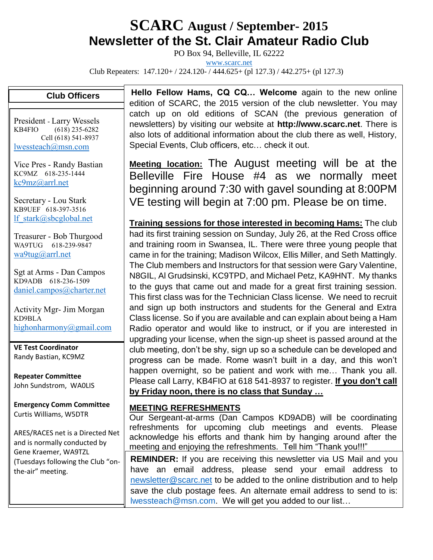# **SCARC August / September- <sup>2015</sup> Newsletter of the St. Clair Amateur Radio Club**

PO Box 94, Belleville, IL 62222

[www.scarc.net](http://www.scarc.net/)

Club Repeaters: 147.120+ / 224.120- / 444.625+ (pl 127.3) / 442.275+ (pl 127.3)

### **Club Officers**

President - Larry Wessels KB4FIO (618) 235-6282 Cell (618) 541-8937 [lwessteach@msn.com](mailto:lwessteach@msn.com)

Vice Pres - Randy Bastian KC9MZ 618-235-1444 [kc9mz@arrl.net](mailto:kc9mz@arrl.net)

Secretary - Lou Stark KB9UEF 618-397-3516 [lf\\_stark@sbcglobal.net](mailto:lf_stark@sbcglobal.net)

Treasurer - Bob Thurgood WA9TUG 618-239-9847 [wa9tug@arrl.net](mailto:wa9tug@arrl.net)

Sgt at Arms - Dan Campos KD9ADB 618-236-1509 [daniel.campos@charter.net](mailto:daniel.campos@charter.net)

Activity Mgr- Jim Morgan KD9BLA [highonharmony@gmail.com](mailto:highonharmony@gmail.com)

**VE Test Coordinator** Randy Bastian, KC9MZ

**Repeater Committee** John Sundstrom, WA0LIS

**Emergency Comm Committee** Curtis Williams, W5DTR

ARES/RACES net is a Directed Net and is normally conducted by Gene Kraemer, WA9TZL (Tuesdays following the Club "onthe-air" meeting.

**Hello Fellow Hams, CQ CQ… Welcome** again to the new online edition of SCARC, the 2015 version of the club newsletter. You may catch up on old editions of SCAN (the previous generation of newsletters) by visiting our website at **http://www.scarc.net**. There is also lots of additional information about the club there as well, History, Special Events, Club officers, etc… check it out.

**Meeting location:** The August meeting will be at the Belleville Fire House #4 as we normally meet beginning around 7:30 with gavel sounding at 8:00PM VE testing will begin at 7:00 pm. Please be on time.

**Training sessions for those interested in becoming Hams:** The club had its first training session on Sunday, July 26, at the Red Cross office and training room in Swansea, IL. There were three young people that came in for the training; Madison Wilcox, Ellis Miller, and Seth Mattingly. The Club members and Instructors for that session were Gary Valentine, N8GIL, Al Grudsinski, KC9TPD, and Michael Petz, KA9HNT. My thanks to the guys that came out and made for a great first training session. This first class was for the Technician Class license. We need to recruit and sign up both instructors and students for the General and Extra Class license. So if you are available and can explain about being a Ham Radio operator and would like to instruct, or if you are interested in upgrading your license, when the sign-up sheet is passed around at the club meeting, don't be shy, sign up so a schedule can be developed and progress can be made. Rome wasn't built in a day, and this won't happen overnight, so be patient and work with me… Thank you all. Please call Larry, KB4FIO at 618 541-8937 to register. **If you don't call by Friday noon, there is no class that Sunday …**

### **MEETING REFRESHMENTS**

Our Sergeant-at-arms (Dan Campos KD9ADB) will be coordinating refreshments for upcoming club meetings and events. Please acknowledge his efforts and thank him by hanging around after the meeting and enjoying the refreshments. Tell him "Thank you!!!"

**REMINDER:** If you are receiving this newsletter via US Mail and you have an email address, please send your email address to [newsletter@scarc.net](mailto:newsletter@scarc.net) to be added to the online distribution and to help save the club postage fees. An alternate email address to send to is: [lwessteach@msn.com.](mailto:lwessteach@msn.com) We will get you added to our list…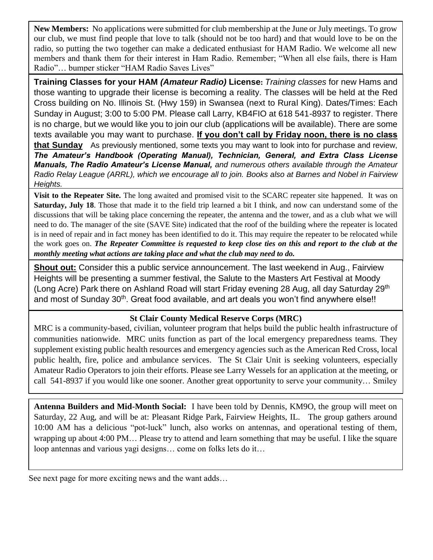**New Members:** No applications were submitted for club membership at the June or July meetings. To grow our club, we must find people that love to talk (should not be too hard) and that would love to be on the radio, so putting the two together can make a dedicated enthusiast for HAM Radio. We welcome all new members and thank them for their interest in Ham Radio. Remember; "When all else fails, there is Ham Radio"… bumper sticker "HAM Radio Saves Lives"

**Training Classes for your HAM** *(Amateur Radio)* **License:** *Training classes* for new Hams and those wanting to upgrade their license is becoming a reality. The classes will be held at the Red Cross building on No. Illinois St. (Hwy 159) in Swansea (next to Rural King). Dates/Times: Each Sunday in August; 3:00 to 5:00 PM. Please call Larry, KB4FIO at 618 541-8937 to register. There is no charge, but we would like you to join our club (applications will be available). There are some texts available you may want to purchase. **If you don't call by Friday noon, there is no class that Sunday** As previously mentioned, some texts you may want to look into for purchase and review, *The Amateur's Handbook (Operating Manual), Technician, General, and Extra Class License Manuals, The Radio Amateur's License Manual, and numerous others available through the Amateur Radio Relay League (ARRL), which we encourage all to join. Books also at Barnes and Nobel in Fairview Heights.*

**Visit to the Repeater Site.** The long awaited and promised visit to the SCARC repeater site happened. It was on **Saturday, July 18**. Those that made it to the field trip learned a bit I think, and now can understand some of the discussions that will be taking place concerning the repeater, the antenna and the tower, and as a club what we will need to do. The manager of the site (SAVE Site) indicated that the roof of the building where the repeater is located is in need of repair and in fact money has been identified to do it. This may require the repeater to be relocated while the work goes on. *The Repeater Committee is requested to keep close ties on this and report to the club at the monthly meeting what actions are taking place and what the club may need to do.*

**Shout out:** Consider this a public service announcement. The last weekend in Aug., Fairview Heights will be presenting a summer festival, the Salute to the Masters Art Festival at Moody (Long Acre) Park there on Ashland Road will start Friday evening 28 Aug, all day Saturday 29<sup>th</sup> and most of Sunday 30<sup>th</sup>. Great food available, and art deals you won't find anywhere else!!

### **St Clair County Medical Reserve Corps (MRC)**

MRC is a community-based, civilian, volunteer program that helps build the public health infrastructure of communities nationwide. MRC units function as part of the local emergency preparedness teams. They supplement existing public health resources and emergency agencies such as the American Red Cross, local public health, fire, police and ambulance services. The St Clair Unit is seeking volunteers, especially Amateur Radio Operators to join their efforts. Please see Larry Wessels for an application at the meeting, or call 541-8937 if you would like one sooner. Another great opportunity to serve your community… Smiley

**Antenna Builders and Mid-Month Social:** I have been told by Dennis, KM9O, the group will meet on Saturday, 22 Aug, and will be at: Pleasant Ridge Park, Fairview Heights, IL. The group gathers around 10:00 AM has a delicious "pot-luck" lunch, also works on antennas, and operational testing of them, wrapping up about 4:00 PM… Please try to attend and learn something that may be useful. I like the square loop antennas and various yagi designs… come on folks lets do it…

See next page for more exciting news and the want adds…